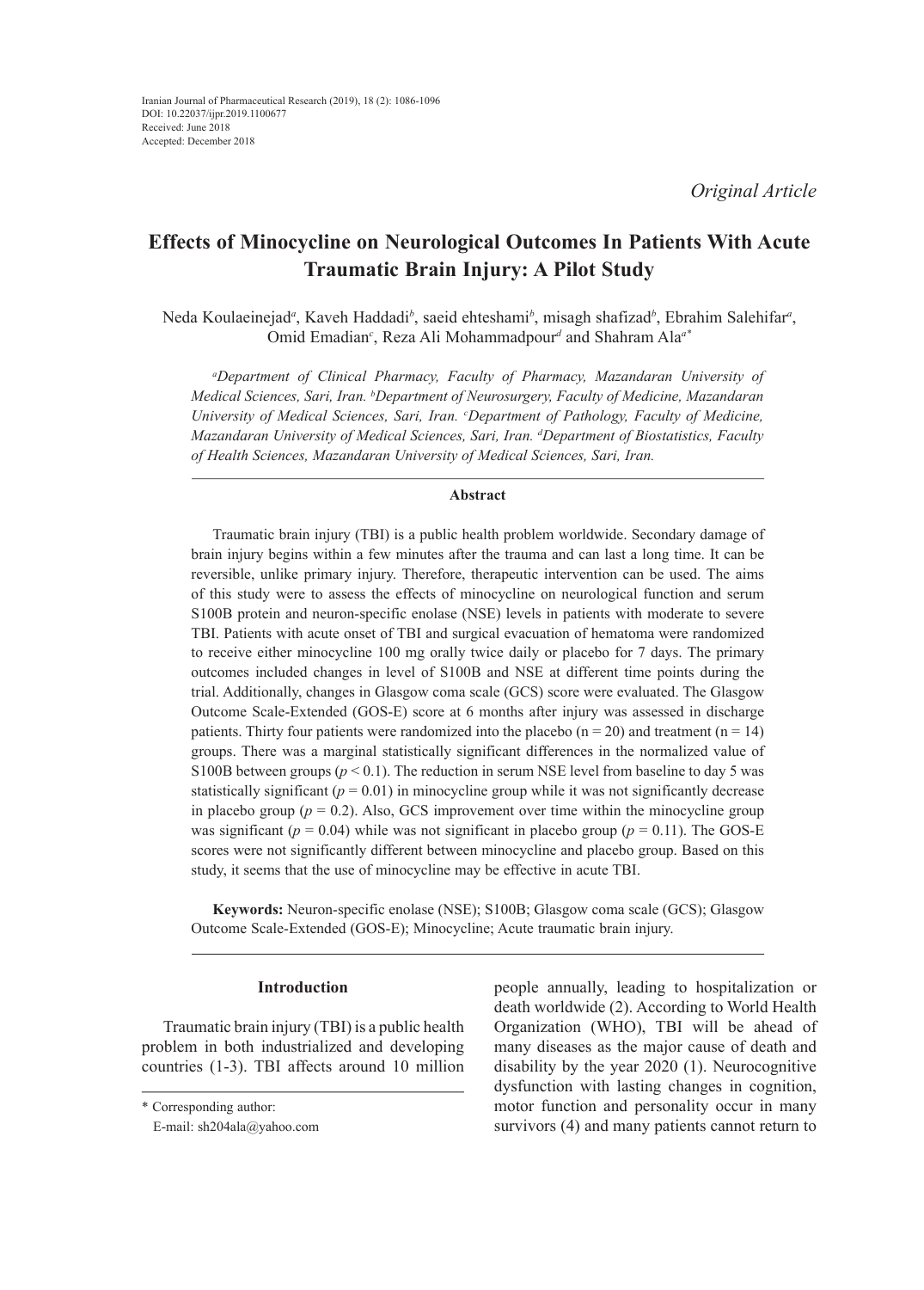*Original Article*

# **Effects of Minocycline on Neurological Outcomes In Patients With Acute Traumatic Brain Injury: A Pilot Study**

Neda Koulaeinejad<sup>a</sup>, Kaveh Haddadi<sup>b</sup>, saeid ehteshami<sup>b</sup>, misagh shafizad<sup>b</sup>, Ebrahim Salehifar<sup>a</sup>, Omid Emadian*<sup>c</sup>* , Reza Ali Mohammadpour*<sup>d</sup>* and Shahram Ala*a\**

*a Department of Clinical Pharmacy, Faculty of Pharmacy, Mazandaran University of Medical Sciences, Sari, Iran. b Department of Neurosurgery, Faculty of Medicine, Mazandaran University of Medical Sciences, Sari, Iran. c Department of Pathology, Faculty of Medicine, Mazandaran University of Medical Sciences, Sari, Iran. d Department of Biostatistics, Faculty of Health Sciences, Mazandaran University of Medical Sciences, Sari, Iran.*

# **Abstract**

Traumatic brain injury (TBI) is a public health problem worldwide. Secondary damage of brain injury begins within a few minutes after the trauma and can last a long time. It can be reversible, unlike primary injury. Therefore, therapeutic intervention can be used. The aims of this study were to assess the effects of minocycline on neurological function and serum S100B protein and neuron-specific enolase (NSE) levels in patients with moderate to severe TBI. Patients with acute onset of TBI and surgical evacuation of hematoma were randomized to receive either minocycline 100 mg orally twice daily or placebo for 7 days. The primary outcomes included changes in level of S100B and NSE at different time points during the trial. Additionally, changes in Glasgow coma scale (GCS) score were evaluated. The Glasgow Outcome Scale-Extended (GOS-E) score at 6 months after injury was assessed in discharge patients. Thirty four patients were randomized into the placebo  $(n = 20)$  and treatment  $(n = 14)$ groups. There was a marginal statistically significant differences in the normalized value of S100B between groups ( $p < 0.1$ ). The reduction in serum NSE level from baseline to day 5 was statistically significant  $(p = 0.01)$  in minocycline group while it was not significantly decrease in placebo group  $(p = 0.2)$ . Also, GCS improvement over time within the minocycline group was significant ( $p = 0.04$ ) while was not significant in placebo group ( $p = 0.11$ ). The GOS-E scores were not significantly different between minocycline and placebo group. Based on this study, it seems that the use of minocycline may be effective in acute TBI.

**Keywords:** Neuron-specific enolase (NSE); S100B; Glasgow coma scale (GCS); Glasgow Outcome Scale-Extended (GOS-E); Minocycline; Acute traumatic brain injury.

# **Introduction**

Traumatic brain injury (TBI) is a public health problem in both industrialized and developing countries (1-3). TBI affects around 10 million

people annually, leading to hospitalization or death worldwide (2). According to World Health Organization (WHO), TBI will be ahead of many diseases as the major cause of death and disability by the year 2020 (1). Neurocognitive dysfunction with lasting changes in cognition, motor function and personality occur in many survivors (4) and many patients cannot return to

<sup>\*</sup> Corresponding author:

E-mail: sh204ala@yahoo.com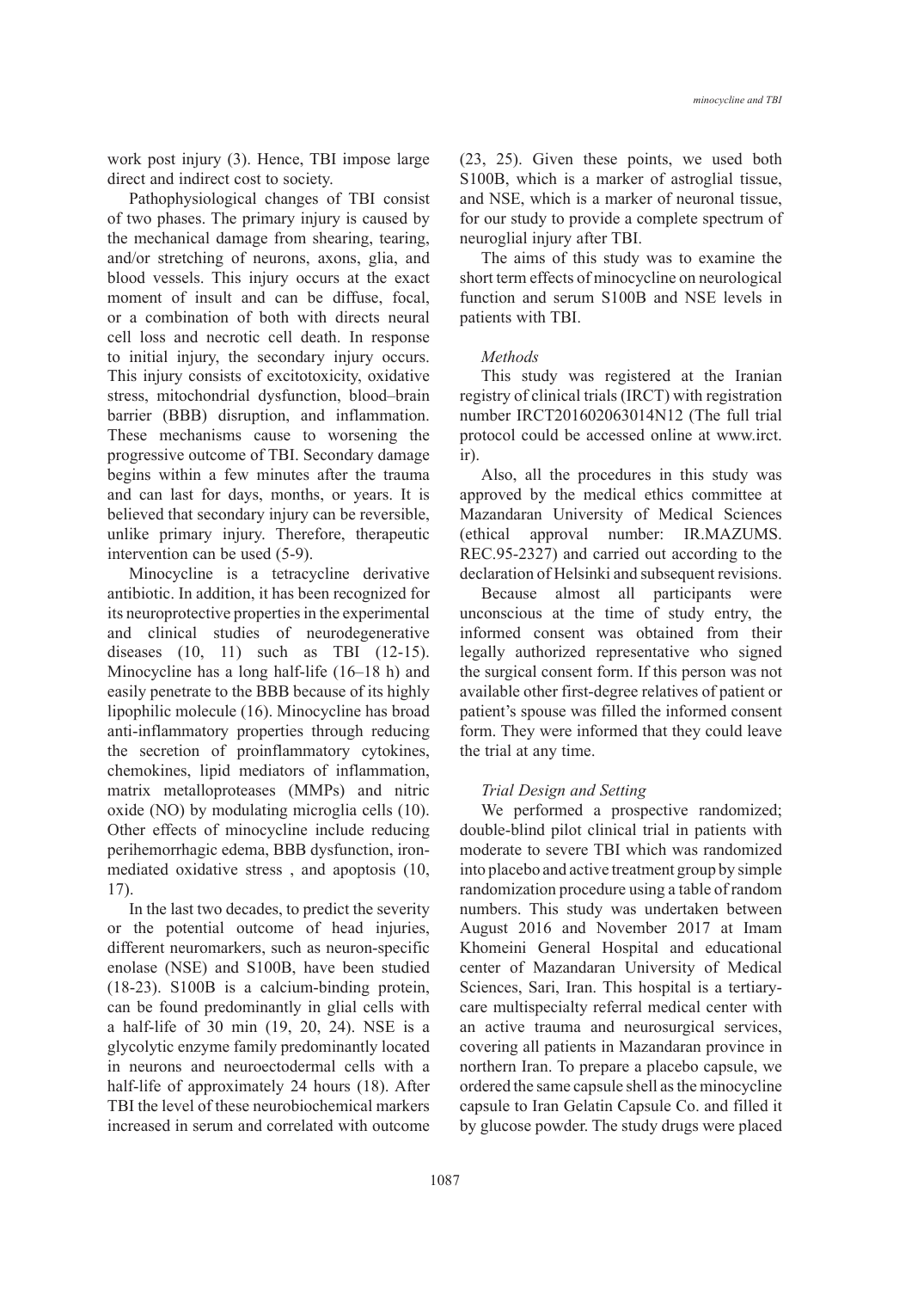work post injury (3). Hence, TBI impose large direct and indirect cost to society.

Pathophysiological changes of TBI consist of two phases. The primary injury is caused by the mechanical damage from shearing, tearing, and/or stretching of neurons, axons, glia, and blood vessels. This injury occurs at the exact moment of insult and can be diffuse, focal, or a combination of both with directs neural cell loss and necrotic cell death. In response to initial injury, the secondary injury occurs. This injury consists of excitotoxicity, oxidative stress, mitochondrial dysfunction, blood–brain barrier (BBB) disruption, and inflammation. These mechanisms cause to worsening the progressive outcome of TBI. Secondary damage begins within a few minutes after the trauma and can last for days, months, or years. It is believed that secondary injury can be reversible, unlike primary injury. Therefore, therapeutic intervention can be used (5-9).

Minocycline is a tetracycline derivative antibiotic. In addition, it has been recognized for its neuroprotective properties in the experimental and clinical studies of neurodegenerative diseases  $(10, 11)$  such as TBI  $(12-15)$ . Minocycline has a long half-life (16–18 h) and easily penetrate to the BBB because of its highly lipophilic molecule (16). Minocycline has broad anti-inflammatory properties through reducing the secretion of proinflammatory cytokines, chemokines, lipid mediators of inflammation, matrix metalloproteases (MMPs) and nitric oxide (NO) by modulating microglia cells (10). Other effects of minocycline include reducing perihemorrhagic edema, BBB dysfunction, ironmediated oxidative stress , and apoptosis (10, 17).

In the last two decades, to predict the severity or the potential outcome of head injuries, different neuromarkers, such as neuron-specific enolase (NSE) and S100B, have been studied (18-23). S100B is a calcium-binding protein, can be found predominantly in glial cells with a half-life of 30 min (19, 20, 24). NSE is a glycolytic enzyme family predominantly located in neurons and neuroectodermal cells with a half-life of approximately 24 hours (18). After TBI the level of these neurobiochemical markers increased in serum and correlated with outcome (23, 25). Given these points, we used both S100B, which is a marker of astroglial tissue, and NSE, which is a marker of neuronal tissue, for our study to provide a complete spectrum of neuroglial injury after TBI.

The aims of this study was to examine the short term effects of minocycline on neurological function and serum S100B and NSE levels in patients with TBI.

### *Methods*

This study was registered at the Iranian registry of clinical trials (IRCT) with registration number IRCT201602063014N12 (The full trial protocol could be accessed online at www.irct. ir).

Also, all the procedures in this study was approved by the medical ethics committee at Mazandaran University of Medical Sciences (ethical approval number: IR.MAZUMS. REC.95-2327) and carried out according to the declaration of Helsinki and subsequent revisions.

Because almost all participants were unconscious at the time of study entry, the informed consent was obtained from their legally authorized representative who signed the surgical consent form. If this person was not available other first-degree relatives of patient or patient's spouse was filled the informed consent form. They were informed that they could leave the trial at any time.

### *Trial Design and Setting*

We performed a prospective randomized; double-blind pilot clinical trial in patients with moderate to severe TBI which was randomized into placebo and active treatment group by simple randomization procedure using a table of random numbers. This study was undertaken between August 2016 and November 2017 at Imam Khomeini General Hospital and educational center of Mazandaran University of Medical Sciences, Sari, Iran. This hospital is a tertiarycare multispecialty referral medical center with an active trauma and neurosurgical services, covering all patients in Mazandaran province in northern Iran. To prepare a placebo capsule, we ordered the same capsule shell as the minocycline capsule to Iran Gelatin Capsule Co. and filled it by glucose powder. The study drugs were placed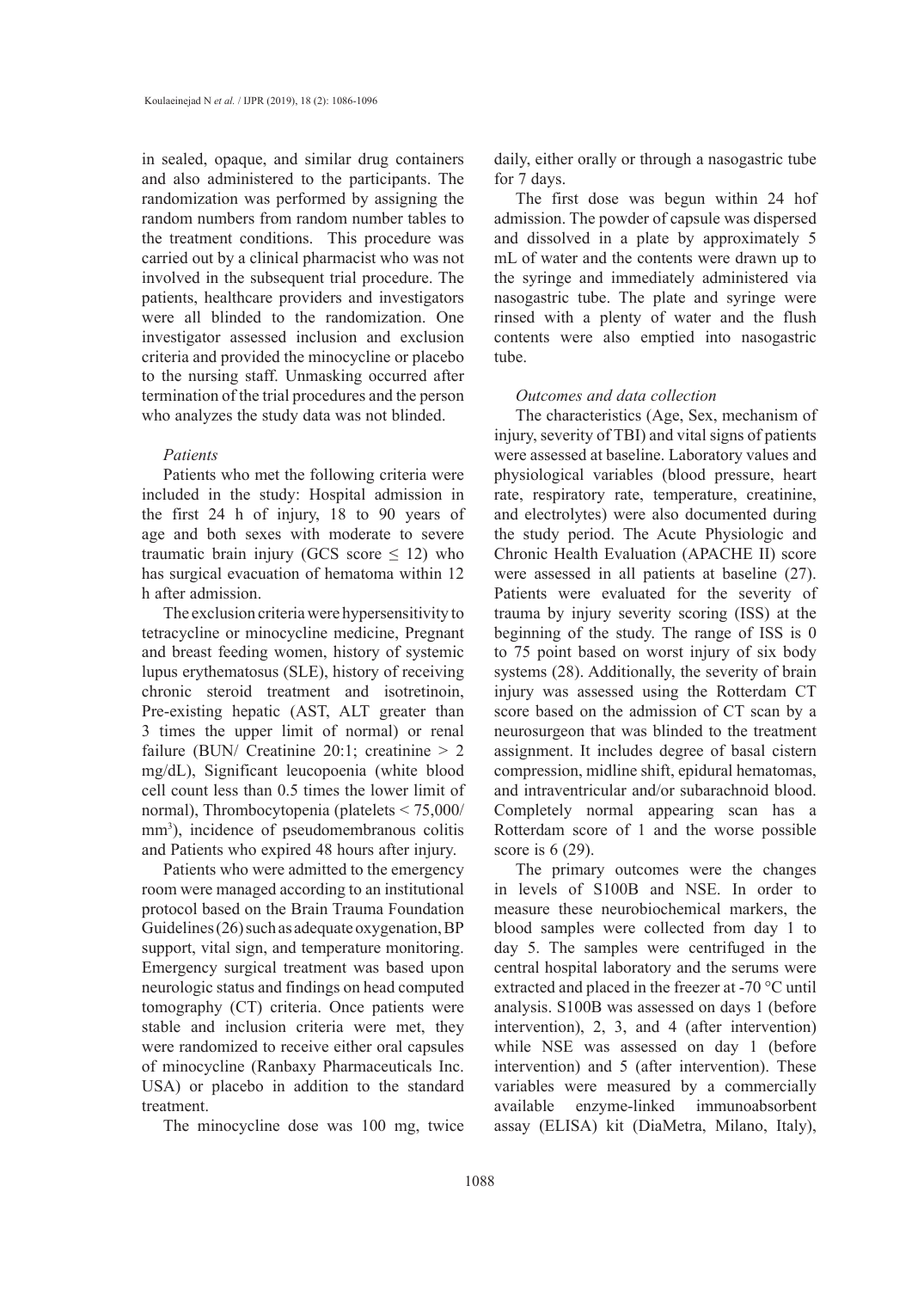in sealed, opaque, and similar drug containers and also administered to the participants. The randomization was performed by assigning the random numbers from random number tables to the treatment conditions. This procedure was carried out by a clinical pharmacist who was not involved in the subsequent trial procedure. The patients, healthcare providers and investigators were all blinded to the randomization. One investigator assessed inclusion and exclusion criteria and provided the minocycline or placebo to the nursing staff. Unmasking occurred after termination of the trial procedures and the person who analyzes the study data was not blinded.

### *Patients*

Patients who met the following criteria were included in the study: Hospital admission in the first 24 h of injury, 18 to 90 years of age and both sexes with moderate to severe traumatic brain injury (GCS score  $\leq$  12) who has surgical evacuation of hematoma within 12 h after admission.

The exclusion criteria were hypersensitivity to tetracycline or minocycline medicine, Pregnant and breast feeding women, history of systemic lupus erythematosus (SLE), history of receiving chronic steroid treatment and isotretinoin, Pre-existing hepatic (AST, ALT greater than 3 times the upper limit of normal) or renal failure (BUN/ Creatinine 20:1; creatinine  $> 2$ mg/dL), Significant leucopoenia (white blood cell count less than 0.5 times the lower limit of normal), Thrombocytopenia (platelets < 75,000/ mm<sup>3</sup>), incidence of pseudomembranous colitis and Patients who expired 48 hours after injury.

Patients who were admitted to the emergency room were managed according to an institutional protocol based on the Brain Trauma Foundation Guidelines (26) such as adequate oxygenation, BP support, vital sign, and temperature monitoring. Emergency surgical treatment was based upon neurologic status and findings on head computed tomography (CT) criteria. Once patients were stable and inclusion criteria were met, they were randomized to receive either oral capsules of minocycline (Ranbaxy Pharmaceuticals Inc. USA) or placebo in addition to the standard treatment.

The minocycline dose was 100 mg, twice

daily, either orally or through a nasogastric tube for 7 days.

The first dose was begun within 24 hof admission. The powder of capsule was dispersed and dissolved in a plate by approximately 5 mL of water and the contents were drawn up to the syringe and immediately administered via nasogastric tube. The plate and syringe were rinsed with a plenty of water and the flush contents were also emptied into nasogastric tube.

### *Outcomes and data collection*

The characteristics (Age, Sex, mechanism of injury, severity of TBI) and vital signs of patients were assessed at baseline. Laboratory values and physiological variables (blood pressure, heart rate, respiratory rate, temperature, creatinine, and electrolytes) were also documented during the study period. The Acute Physiologic and Chronic Health Evaluation (APACHE II) score were assessed in all patients at baseline (27). Patients were evaluated for the severity of trauma by injury severity scoring (ISS) at the beginning of the study. The range of ISS is 0 to 75 point based on worst injury of six body systems (28). Additionally, the severity of brain injury was assessed using the Rotterdam CT score based on the admission of CT scan by a neurosurgeon that was blinded to the treatment assignment. It includes degree of basal cistern compression, midline shift, epidural hematomas, and intraventricular and/or subarachnoid blood. Completely normal appearing scan has a Rotterdam score of 1 and the worse possible score is 6 (29).

The primary outcomes were the changes in levels of S100B and NSE. In order to measure these neurobiochemical markers, the blood samples were collected from day 1 to day 5. The samples were centrifuged in the central hospital laboratory and the serums were extracted and placed in the freezer at -70 °C until analysis. S100B was assessed on days 1 (before intervention), 2, 3, and 4 (after intervention) while NSE was assessed on day 1 (before intervention) and 5 (after intervention). These variables were measured by a commercially available enzyme-linked immunoabsorbent assay (ELISA) kit (DiaMetra, Milano, Italy),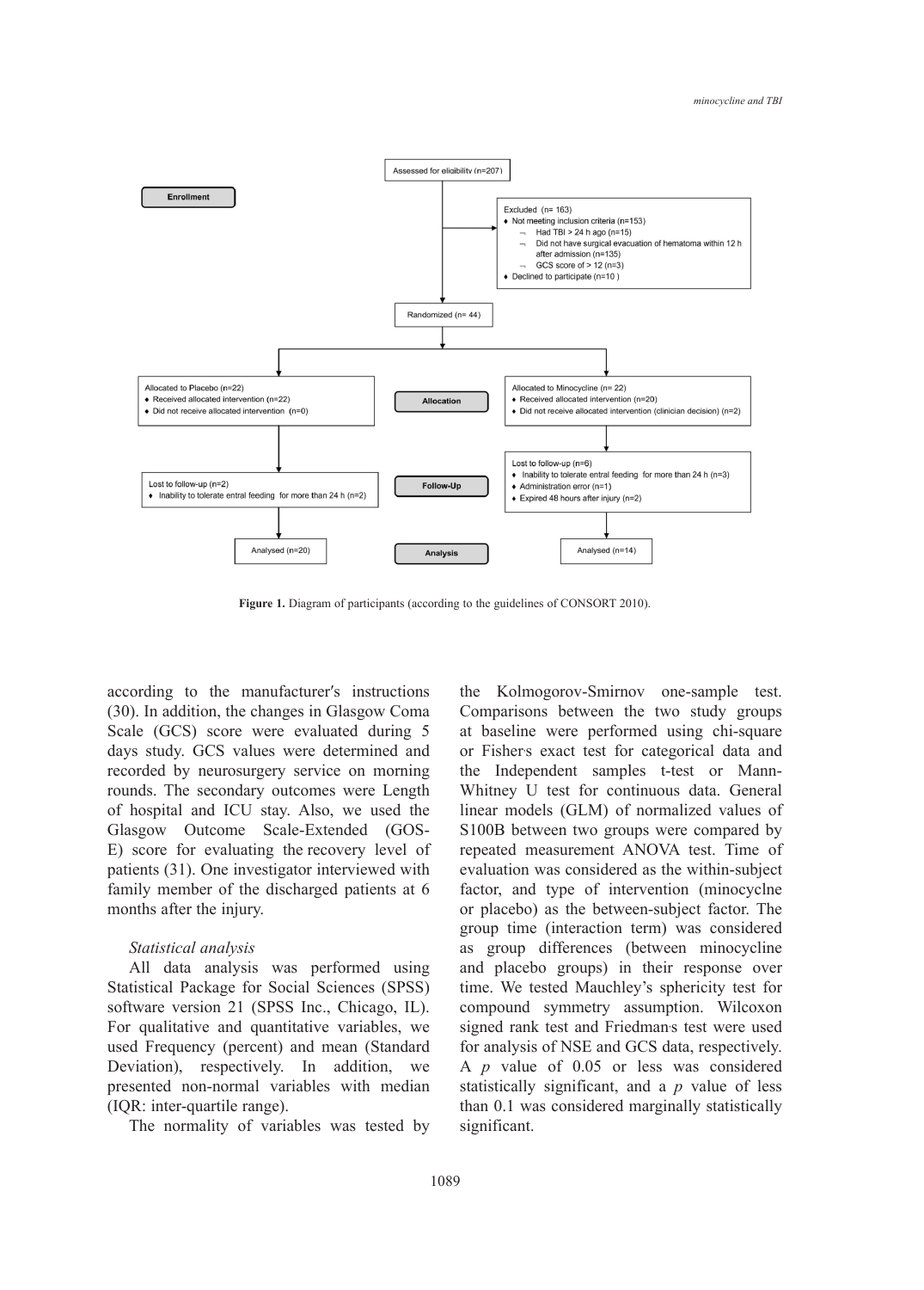

Figure 1. Diagram of participants (according to the guidelines of CONSORT 2010).

according to the manufacturer′s instructions (30). In addition, the changes in Glasgow Coma Scale (GCS) score were evaluated during 5 days study. GCS values were determined and recorded by neurosurgery service on morning rounds. The secondary outcomes were Length of hospital and ICU stay. Also, we used the Glasgow Outcome Scale-Extended (GOS-E) score for evaluating the recovery level of patients (31). One investigator interviewed with family member of the discharged patients at 6 months after the injury.

# *Statistical analysis*

All data analysis was performed using Statistical Package for Social Sciences (SPSS) software version 21 (SPSS Inc., Chicago, IL). For qualitative and quantitative variables, we used Frequency (percent) and mean (Standard Deviation), respectively. In addition, we presented non-normal variables with median (IQR: inter-quartile range).

The normality of variables was tested by

the Kolmogorov-Smirnov one-sample test. Comparisons between the two study groups at baseline were performed using chi-square or Fishers exact test for categorical data and the Independent samples t-test or Mann-Whitney U test for continuous data. General linear models (GLM) of normalized values of S100B between two groups were compared by repeated measurement ANOVA test. Time of evaluation was considered as the within-subject factor, and type of intervention (minocyclne or placebo) as the between-subject factor. The group time (interaction term) was considered as group differences (between minocycline and placebo groups) in their response over time. We tested Mauchley's sphericity test for compound symmetry assumption. Wilcoxon signed rank test and Friedman's test were used for analysis of NSE and GCS data, respectively. A *p* value of 0.05 or less was considered statistically significant, and a *p* value of less than 0.1 was considered marginally statistically significant.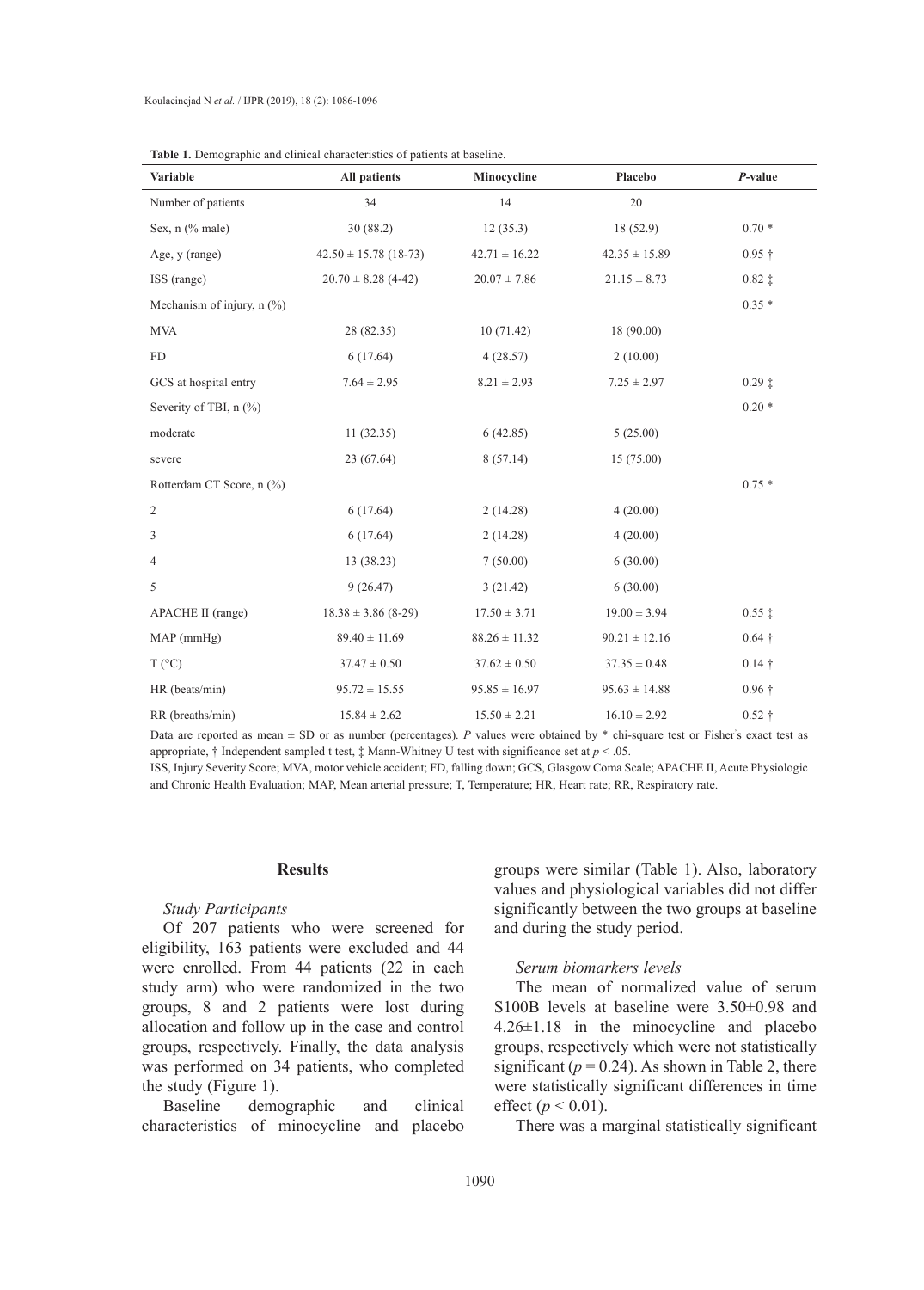| Variable                     | All patients<br>Minocycline |                   | Placebo           | P-value          |
|------------------------------|-----------------------------|-------------------|-------------------|------------------|
| Number of patients           | 34                          | 14                | 20                |                  |
| Sex, $n$ (% male)            | 30(88.2)                    | 12(35.3)          | 18(52.9)          | $0.70*$          |
| Age, y (range)               | $42.50 \pm 15.78$ (18-73)   | $42.71 \pm 16.22$ | $42.35 \pm 15.89$ | $0.95 \dagger$   |
| ISS (range)                  | $20.70 \pm 8.28$ (4-42)     | $20.07 \pm 7.86$  | $21.15 \pm 8.73$  | $0.82 \pm$       |
| Mechanism of injury, $n$ (%) |                             |                   |                   | $0.35*$          |
| <b>MVA</b>                   | 28 (82.35)                  | 10(71.42)         | 18(90.00)         |                  |
| ${\rm FD}$                   | 6(17.64)                    | 4(28.57)          | 2(10.00)          |                  |
| GCS at hospital entry        | $7.64 \pm 2.95$             | $8.21 \pm 2.93$   | $7.25 \pm 2.97$   | $0.29$ $\dagger$ |
| Severity of TBI, n (%)       |                             |                   |                   | $0.20*$          |
| moderate                     | 11(32.35)                   | 6(42.85)          | 5(25.00)          |                  |
| severe                       | 23 (67.64)                  | 8(57.14)          | 15(75.00)         |                  |
| Rotterdam CT Score, n (%)    |                             |                   |                   | $0.75*$          |
| 2                            | 6(17.64)                    | 2(14.28)          | 4(20.00)          |                  |
| 3                            | 6(17.64)                    | 2(14.28)          | 4(20.00)          |                  |
| 4                            | 13(38.23)                   | 7(50.00)          | 6(30.00)          |                  |
| 5                            | 9(26.47)                    | 3(21.42)          | 6(30.00)          |                  |
| APACHE II (range)            | $18.38 \pm 3.86$ (8-29)     | $17.50 \pm 3.71$  | $19.00 \pm 3.94$  | $0.55 \ddagger$  |
| MAP(mmHg)                    | $89.40 \pm 11.69$           | $88.26 \pm 11.32$ | $90.21 \pm 12.16$ | $0.64 \dagger$   |
| $T (^{\circ}C)$              | $37.47 \pm 0.50$            | $37.62 \pm 0.50$  | $37.35 \pm 0.48$  | $0.14 \dagger$   |
| HR (beats/min)               | $95.72 \pm 15.55$           | $95.85 \pm 16.97$ | $95.63 \pm 14.88$ | $0.96 \dagger$   |
| RR (breaths/min)             | $15.84 \pm 2.62$            | $15.50 \pm 2.21$  | $16.10 \pm 2.92$  | $0.52 \dagger$   |

Data are reported as mean  $\pm$  SD or as number (percentages). P values were obtained by  $*$  chi-square test or Fisher's exact test as appropriate, † Independent sampled t test, ‡ Mann-Whitney U test with significance set at *p* < .05.

ISS, Injury Severity Score; MVA, motor vehicle accident; FD, falling down; GCS, Glasgow Coma Scale; APACHE II, Acute Physiologic and Chronic Health Evaluation; MAP, Mean arterial pressure; T, Temperature; HR, Heart rate; RR, Respiratory rate.

# **Results**

# *Study Participants*

Of 207 patients who were screened for eligibility, 163 patients were excluded and 44 were enrolled. From 44 patients (22 in each study arm) who were randomized in the two groups, 8 and 2 patients were lost during allocation and follow up in the case and control groups, respectively. Finally, the data analysis was performed on 34 patients, who completed the study (Figure 1).

Baseline demographic and clinical characteristics of minocycline and placebo groups were similar (Table 1). Also, laboratory values and physiological variables did not differ significantly between the two groups at baseline and during the study period.

# *Serum biomarkers levels*

The mean of normalized value of serum S100B levels at baseline were 3.50±0.98 and 4.26±1.18 in the minocycline and placebo groups, respectively which were not statistically significant ( $p = 0.24$ ). As shown in Table 2, there were statistically significant differences in time effect ( $p < 0.01$ ).

There was a marginal statistically significant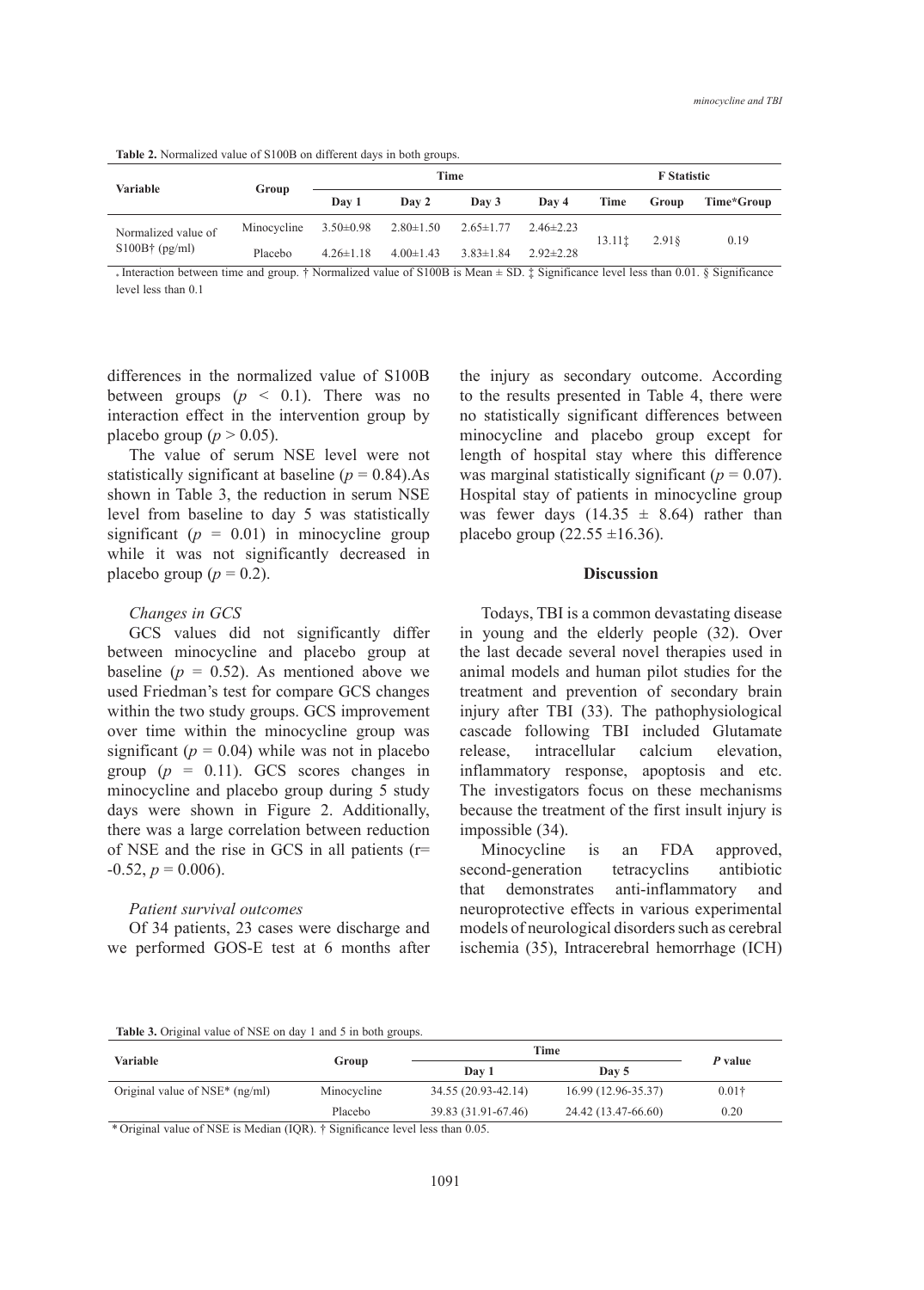**Table 2.** Normalized value of S100B on different days in both groups.

| Variable                                | Group       | Time            |                 |                 | <b>F</b> Statistic |        |       |            |
|-----------------------------------------|-------------|-----------------|-----------------|-----------------|--------------------|--------|-------|------------|
|                                         |             | Day 1           | Day 2           | Day 3           | Day 4              | Time   | Group | Time*Group |
| Normalized value of<br>$$100B+$ (pg/ml) | Minocycline | $3.50 \pm 0.98$ | $2.80 \pm 1.50$ | $2.65 \pm 1.77$ | $2.46 \pm 2.23$    | 13.111 | 2.918 | 0.19       |
|                                         | Placebo     | $4.26 \pm 1.18$ | $4.00 \pm 1.43$ | $3.83 \pm 1.84$ | $2.92 \pm 2.28$    |        |       |            |

 $\cdot$  Interaction between time and group. † Normalized value of S100B is Mean  $\pm$  SD.  $\ddagger$  Significance level less than 0.01. § Significance level less than 0.1

differences in the normalized value of S100B between groups  $(p \le 0.1)$ . There was no interaction effect in the intervention group by placebo group ( $p > 0.05$ ).

The value of serum NSE level were not statistically significant at baseline  $(p = 0.84)$ . As shown in Table 3, the reduction in serum NSE level from baseline to day 5 was statistically significant  $(p = 0.01)$  in minocycline group while it was not significantly decreased in placebo group ( $p = 0.2$ ).

# *Changes in GCS*

GCS values did not significantly differ between minocycline and placebo group at baseline  $(p = 0.52)$ . As mentioned above we used Friedman's test for compare GCS changes within the two study groups. GCS improvement over time within the minocycline group was significant ( $p = 0.04$ ) while was not in placebo group  $(p = 0.11)$ . GCS scores changes in minocycline and placebo group during 5 study days were shown in Figure 2. Additionally, there was a large correlation between reduction of NSE and the rise in GCS in all patients (r=  $-0.52, p = 0.006$ .

### *Patient survival outcomes*

Of 34 patients, 23 cases were discharge and we performed GOS-E test at 6 months after the injury as secondary outcome. According to the results presented in Table 4, there were no statistically significant differences between minocycline and placebo group except for length of hospital stay where this difference was marginal statistically significant  $(p = 0.07)$ . Hospital stay of patients in minocycline group was fewer days  $(14.35 \pm 8.64)$  rather than placebo group  $(22.55 \pm 16.36)$ .

### **Discussion**

Todays, TBI is a common devastating disease in young and the elderly people (32). Over the last decade several novel therapies used in animal models and human pilot studies for the treatment and prevention of secondary brain injury after TBI (33). The pathophysiological cascade following TBI included Glutamate release, intracellular calcium elevation, inflammatory response, apoptosis and etc. The investigators focus on these mechanisms because the treatment of the first insult injury is impossible (34).

Minocycline is an FDA approved, second-generation tetracyclins antibiotic that demonstrates anti-inflammatory and neuroprotective effects in various experimental models of neurological disorders such as cerebral ischemia (35), Intracerebral hemorrhage (ICH)

**Table 3.** Original value of NSE on day 1 and 5 in both groups.

| Variable                                                            | Group                                                                               | Time                                    | P value             |               |
|---------------------------------------------------------------------|-------------------------------------------------------------------------------------|-----------------------------------------|---------------------|---------------|
|                                                                     |                                                                                     | Day 1                                   | Day 5               |               |
| Original value of $NSE^*$ (ng/ml)                                   | Minocycline                                                                         | 34.55 (20.93-42.14)                     | 16.99 (12.96-35.37) | $0.01\dagger$ |
|                                                                     | Placebo                                                                             | 39.83 (31.91-67.46)                     | 24.42 (13.47-66.60) | 0.20          |
| $\sim$ $\sim$ $\sim$ $\sim$<br>0.320001<br>$\mathbf{r}$<br>$\cdots$ | $\cdot$ $\sim$<br>$(\mathbf{v} \wedge \mathbf{v})$ $(\mathbf{v} \wedge \mathbf{v})$ | $\cdot$ $\cdot$<br>$\sim$ $\sim$ $\sim$ |                     |               |

\* Original value of NSE is Median (IQR). † Significance level less than 0.05.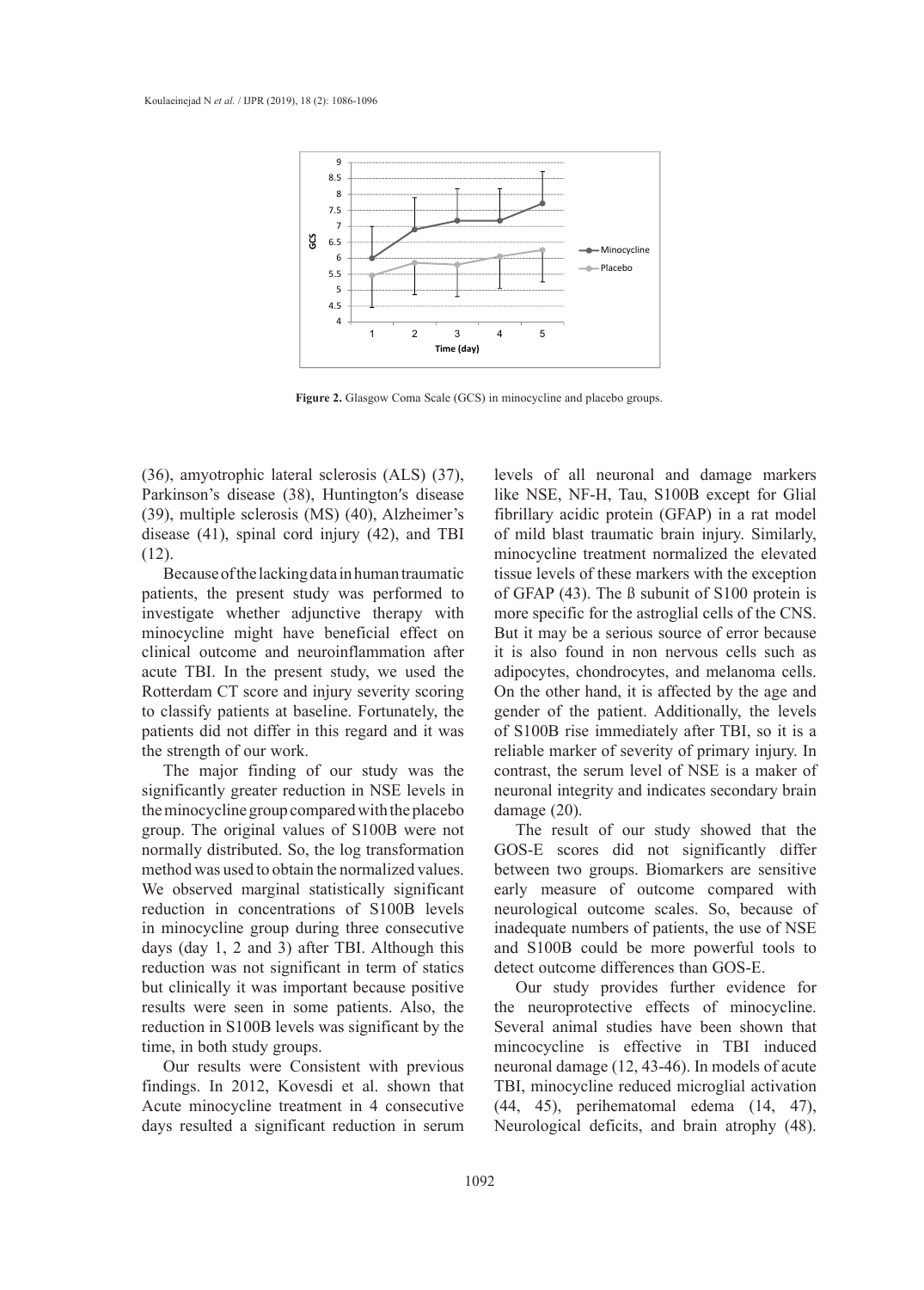

**Figure 2.** Glasgow Coma Scale (GCS) in minocycline and placebo groups. **Figure 2.** Glasgow Coma Scale (GCS) in minocycline and placebo groups.

(36), amyotrophic lateral sclerosis (ALS) (37), Parkinson's disease (38), Huntington′s disease (39), multiple sclerosis (MS) (40), Alzheimer's disease (41), spinal cord injury (42), and TBI (12).

Because of the lacking data in human traumatic patients, the present study was performed to investigate whether adjunctive therapy with minocycline might have beneficial effect on clinical outcome and neuroinflammation after acute TBI. In the present study, we used the Rotterdam CT score and injury severity scoring to classify patients at baseline. Fortunately, the patients did not differ in this regard and it was the strength of our work.

The major finding of our study was the significantly greater reduction in NSE levels in the minocycline group compared with the placebo group. The original values of S100B were not normally distributed. So, the log transformation method was used to obtain the normalized values. We observed marginal statistically significant reduction in concentrations of S100B levels in minocycline group during three consecutive days (day 1, 2 and 3) after TBI. Although this reduction was not significant in term of statics but clinically it was important because positive results were seen in some patients. Also, the reduction in S100B levels was significant by the time, in both study groups.

Our results were Consistent with previous findings. In 2012, Kovesdi et al. shown that Acute minocycline treatment in 4 consecutive days resulted a significant reduction in serum

levels of all neuronal and damage markers like NSE, NF-H, Tau, S100B except for Glial after the injury as secondary outcome. According to the results presented in Table  $(MS)$  (40), Alzheimer's fibrillary acidic protein (GFAP) in a rat model of mild blast traumatic brain injury. Similarly, minocycline treatment normalized the elevated tissue levels of these markers with the exception figuram in minimum and the statistical statistical statistical statistical statistical statistical statistical statistical statistical statistical statistical statistical statistical statistical statistical statistical sta djunctive therapy with more specific for the astroglial cells of the CNS. But it may be a serious source of error because it is also found in non nervous cells such as adipocytes, chondrocytes, and melanoma cells. On the other hand, it is affected by the age and gender of the patient. Additionally, the levels of S100B rise immediately after TBI, so it is a reliable marker of severity of primary injury. In contrast, the serum level of NSE is a maker of neuronal integrity and indicates secondary brain damage (20).

> The result of our study showed that the GOS-E scores did not significantly differ between two groups. Biomarkers are sensitive early measure of outcome compared with neurological outcome scales. So, because of inadequate numbers of patients, the use of NSE and S100B could be more powerful tools to detect outcome differences than GOS-E.

> Our study provides further evidence for the neuroprotective effects of minocycline. Several animal studies have been shown that mincocycline is effective in TBI induced neuronal damage (12, 43-46). In models of acute TBI, minocycline reduced microglial activation (44, 45), perihematomal edema (14, 47), Neurological deficits, and brain atrophy (48).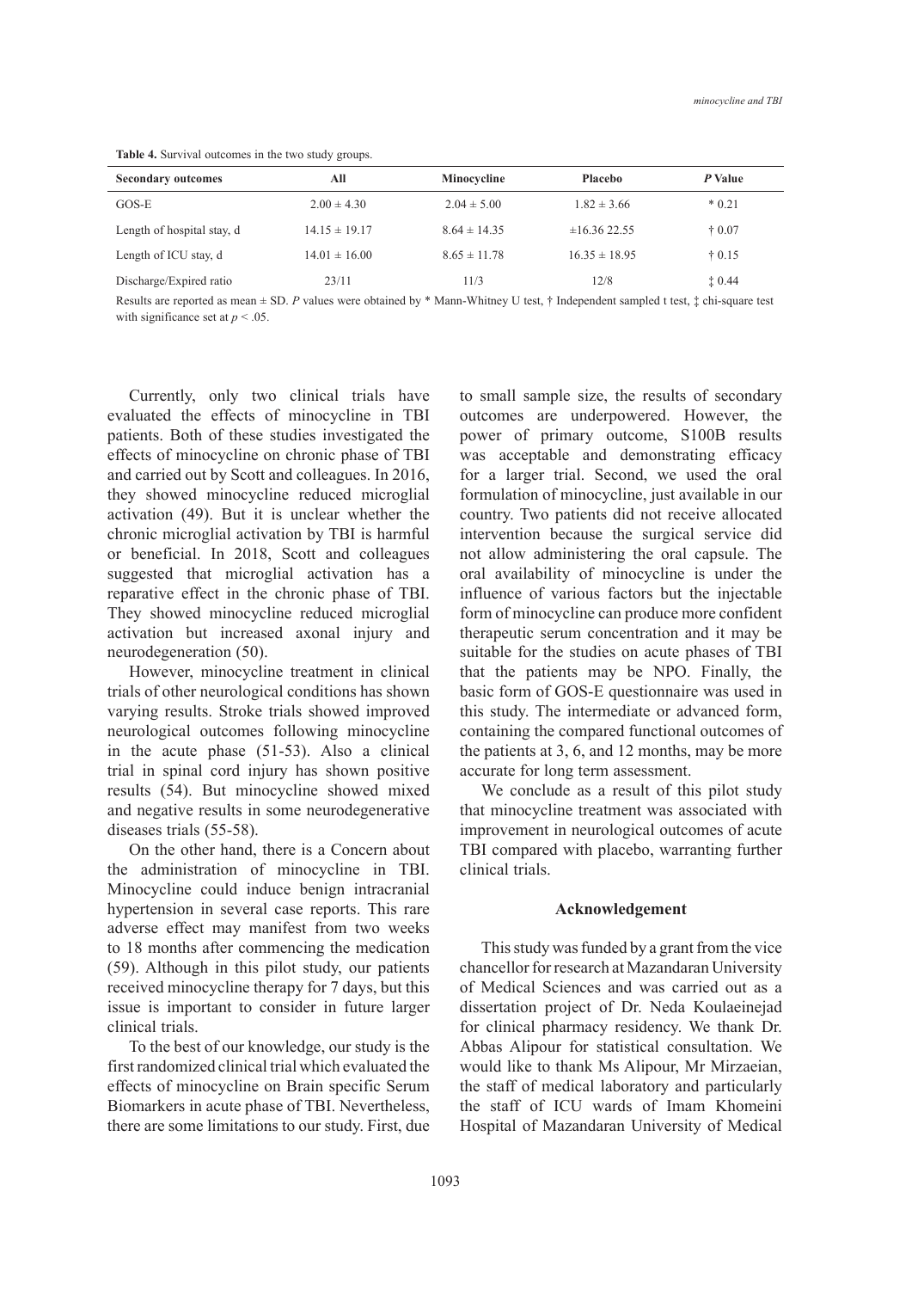| <b>Secondary outcomes</b>  | All               | Minocycline      | <b>Placebo</b>    | P Value         |
|----------------------------|-------------------|------------------|-------------------|-----------------|
| $GOS-E$                    | $2.00 \pm 4.30$   | $2.04 \pm 5.00$  | $1.82 \pm 3.66$   | $*0.21$         |
| Length of hospital stay, d | $14.15 \pm 19.17$ | $8.64 \pm 14.35$ | $\pm 16.36$ 22.55 | $\pm 0.07$      |
| Length of ICU stay, d      | $14.01 \pm 16.00$ | $8.65 \pm 11.78$ | $16.35 \pm 18.95$ | $\ddagger$ 0.15 |
| Discharge/Expired ratio    | 23/11             | 11/3             | 12/8              | $\ddagger 0.44$ |

**Table 4.** Survival outcomes in the two study groups.

Results are reported as mean ± SD. *P* values were obtained by \* Mann-Whitney U test, † Independent sampled t test, ‡ chi-square test with significance set at  $p < .05$ .

Currently, only two clinical trials have evaluated the effects of minocycline in TBI patients. Both of these studies investigated the effects of minocycline on chronic phase of TBI and carried out by Scott and colleagues. In 2016, they showed minocycline reduced microglial activation (49). But it is unclear whether the chronic microglial activation by TBI is harmful or beneficial. In 2018, Scott and colleagues suggested that microglial activation has a reparative effect in the chronic phase of TBI. They showed minocycline reduced microglial activation but increased axonal injury and neurodegeneration (50).

However, minocycline treatment in clinical trials of other neurological conditions has shown varying results. Stroke trials showed improved neurological outcomes following minocycline in the acute phase (51-53). Also a clinical trial in spinal cord injury has shown positive results (54). But minocycline showed mixed and negative results in some neurodegenerative diseases trials (55-58).

On the other hand, there is a Concern about the administration of minocycline in TBI. Minocycline could induce benign intracranial hypertension in several case reports. This rare adverse effect may manifest from two weeks to 18 months after commencing the medication (59). Although in this pilot study, our patients received minocycline therapy for 7 days, but this issue is important to consider in future larger clinical trials.

To the best of our knowledge, our study is the first randomized clinical trial which evaluated the effects of minocycline on Brain specific Serum Biomarkers in acute phase of TBI. Nevertheless, there are some limitations to our study. First, due to small sample size, the results of secondary outcomes are underpowered. However, the power of primary outcome, S100B results was acceptable and demonstrating efficacy for a larger trial. Second, we used the oral formulation of minocycline, just available in our country. Two patients did not receive allocated intervention because the surgical service did not allow administering the oral capsule. The oral availability of minocycline is under the influence of various factors but the injectable form of minocycline can produce more confident therapeutic serum concentration and it may be suitable for the studies on acute phases of TBI that the patients may be NPO. Finally, the basic form of GOS-E questionnaire was used in this study. The intermediate or advanced form, containing the compared functional outcomes of the patients at 3, 6, and 12 months, may be more accurate for long term assessment.

We conclude as a result of this pilot study that minocycline treatment was associated with improvement in neurological outcomes of acute TBI compared with placebo, warranting further clinical trials.

# **Acknowledgement**

This study was funded by a grant from the vice chancellor for research at Mazandaran University of Medical Sciences and was carried out as a dissertation project of Dr. Neda Koulaeinejad for clinical pharmacy residency. We thank Dr. Abbas Alipour for statistical consultation. We would like to thank Ms Alipour, Mr Mirzaeian, the staff of medical laboratory and particularly the staff of ICU wards of Imam Khomeini Hospital of Mazandaran University of Medical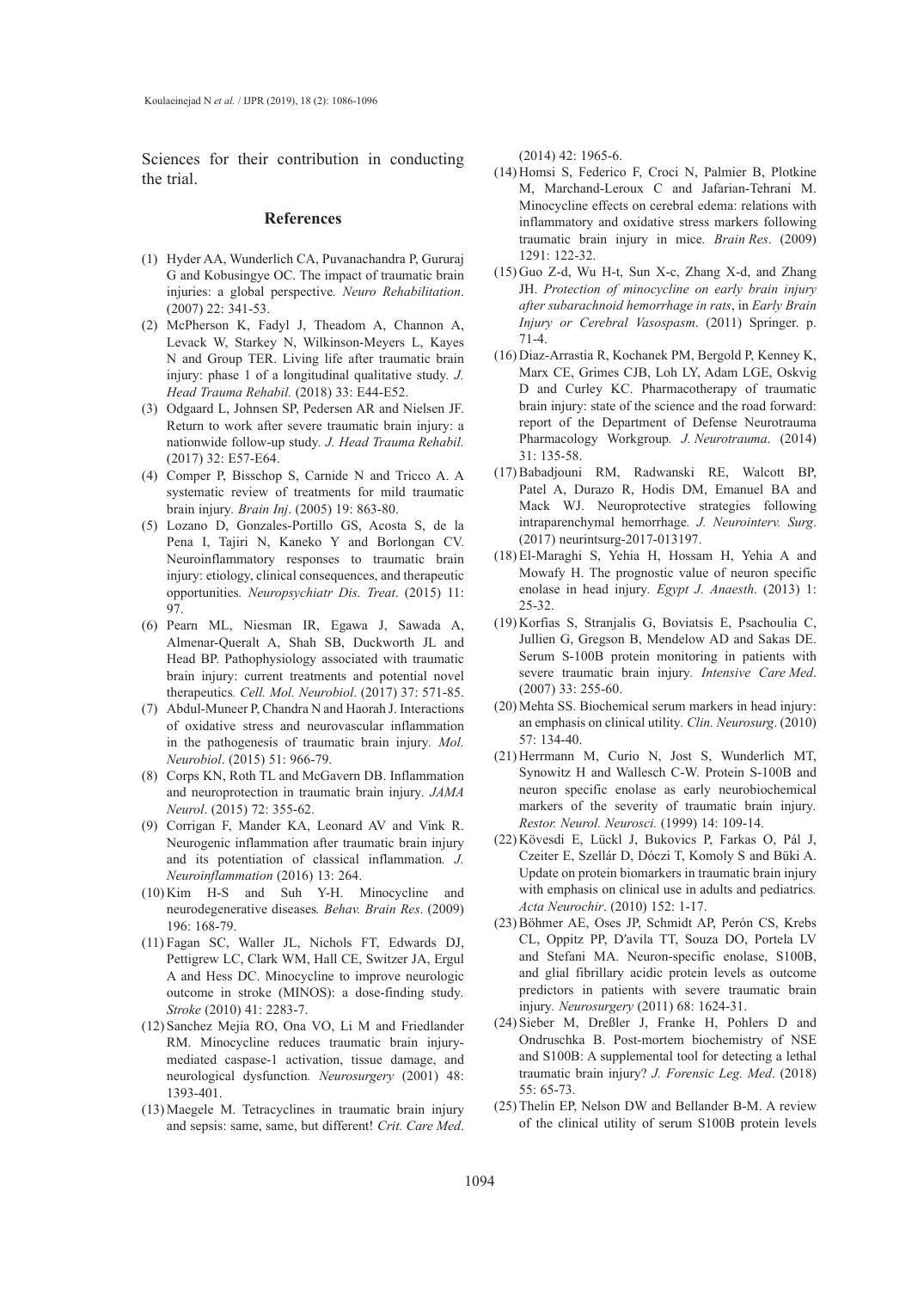Sciences for their contribution in conducting the trial.

#### **References**

- (1) Hyder AA, Wunderlich CA, Puvanachandra P, Gururaj G and Kobusingye OC. The impact of traumatic brain injuries: a global perspective*. Neuro Rehabilitation*. (2007) 22: 341-53.
- McPherson K, Fadyl J, Theadom A, Channon A, (2) Levack W, Starkey N, Wilkinson-Meyers L, Kayes N and Group TER. Living life after traumatic brain injury: phase 1 of a longitudinal qualitative study*. J. Head Trauma Rehabil.* (2018) 33: E44-E52.
- (3) Odgaard L, Johnsen SP, Pedersen AR and Nielsen JF. Return to work after severe traumatic brain injury: a nationwide follow-up study*. J. Head Trauma Rehabil.* (2017) 32: E57-E64.
- (4) Comper P, Bisschop S, Carnide N and Tricco A. A systematic review of treatments for mild traumatic brain injury*. Brain Inj*. (2005) 19: 863-80.
- Lozano D, Gonzales-Portillo GS, Acosta S, de la (5) Pena I, Tajiri N, Kaneko Y and Borlongan CV. Neuroinflammatory responses to traumatic brain injury: etiology, clinical consequences, and therapeutic opportunities*. Neuropsychiatr Dis. Treat*. (2015) 11: 97.
- Pearn ML, Niesman IR, Egawa J, Sawada A, (6) Almenar-Queralt A, Shah SB, Duckworth JL and Head BP. Pathophysiology associated with traumatic brain injury: current treatments and potential novel therapeutics*. Cell. Mol. Neurobiol*. (2017) 37: 571-85.
- Abdul-Muneer P, Chandra N and Haorah J. Interactions (7) of oxidative stress and neurovascular inflammation in the pathogenesis of traumatic brain injury*. Mol. Neurobiol*. (2015) 51: 966-79.
- (8) Corps KN, Roth TL and McGavern DB. Inflammation and neuroprotection in traumatic brain injury*. JAMA Neurol*. (2015) 72: 355-62.
- (9) Corrigan F, Mander KA, Leonard AV and Vink R. Neurogenic inflammation after traumatic brain injury and its potentiation of classical inflammation*. J. Neuroinflammation* (2016) 13: 264.
- $(10)$  Kim H-S and Suh Y-H. Minocycline and neurodegenerative diseases*. Behav. Brain Res*. (2009) 196: 168-79.
- Fagan SC, Waller JL, Nichols FT, Edwards DJ, (11) Pettigrew LC, Clark WM, Hall CE, Switzer JA, Ergul A and Hess DC. Minocycline to improve neurologic outcome in stroke (MINOS): a dose-finding study*. Stroke* (2010) 41: 2283-7.
- (12) Sanchez Mejia RO, Ona VO, Li M and Friedlander RM. Minocycline reduces traumatic brain injurymediated caspase-1 activation, tissue damage, and neurological dysfunction*. Neurosurgery* (2001) 48: 1393-401.
- (13) Maegele M. Tetracyclines in traumatic brain injury and sepsis: same, same, but different! *Crit. Care Med*.

(2014) 42: 1965-6.

- (14) Homsi S, Federico F, Croci N, Palmier B, Plotkine M, Marchand-Leroux C and Jafarian-Tehrani M. Minocycline effects on cerebral edema: relations with inflammatory and oxidative stress markers following traumatic brain injury in mice*. Brain Res*. (2009) 1291: 122-32.
- $(15)$  Guo Z-d, Wu H-t, Sun X-c, Zhang X-d, and Zhang JH. *Protection of minocycline on early brain injury after subarachnoid hemorrhage in rats*, in *Early Brain Injury or Cerebral Vasospasm*. (2011) Springer. p. 71-4.
- (16) Diaz-Arrastia R, Kochanek PM, Bergold P, Kenney K, Marx CE, Grimes CJB, Loh LY, Adam LGE, Oskvig D and Curley KC. Pharmacotherapy of traumatic brain injury: state of the science and the road forward: report of the Department of Defense Neurotrauma Pharmacology Workgroup*. J. Neurotrauma*. (2014) 31: 135-58.
- (17) Babadjouni RM, Radwanski RE, Walcott BP, Patel A, Durazo R, Hodis DM, Emanuel BA and Mack WJ. Neuroprotective strategies following intraparenchymal hemorrhage*. J. Neurointerv. Surg*. (2017) neurintsurg-2017-013197.
- El-Maraghi S, Yehia H, Hossam H, Yehia A and (18) Mowafy H. The prognostic value of neuron specific enolase in head injury*. Egypt J. Anaesth*. (2013) 1: 25-32.
- (19) Korfias S, Stranjalis G, Boviatsis E, Psachoulia C, Jullien G, Gregson B, Mendelow AD and Sakas DE. Serum S-100B protein monitoring in patients with severe traumatic brain injury*. Intensive Care Med*. (2007) 33: 255-60.
- (20) Mehta SS. Biochemical serum markers in head injury: an emphasis on clinical utility*. Clin. Neurosurg*. (2010) 57: 134-40.
- (21) Herrmann M, Curio N, Jost S, Wunderlich MT, Synowitz H and Wallesch C-W. Protein S-100B and neuron specific enolase as early neurobiochemical markers of the severity of traumatic brain injury*. Restor. Neurol. Neurosci.* (1999) 14: 109-14.
- (22) Kövesdi E, Lückl J, Bukovics P, Farkas O, Pál J, Czeiter E, Szellár D, Dóczi T, Komoly S and Büki A. Update on protein biomarkers in traumatic brain injury with emphasis on clinical use in adults and pediatrics*. Acta Neurochir*. (2010) 152: 1-17.
- (23) Böhmer AE, Oses JP, Schmidt AP, Perón CS, Krebs CL, Oppitz PP, D′avila TT, Souza DO, Portela LV and Stefani MA. Neuron-specific enolase, S100B, and glial fibrillary acidic protein levels as outcome predictors in patients with severe traumatic brain injury*. Neurosurgery* (2011) 68: 1624-31.
- (24) Sieber M, Dreßler J, Franke H, Pohlers D and Ondruschka B. Post-mortem biochemistry of NSE and S100B: A supplemental tool for detecting a lethal traumatic brain injury? *J. Forensic Leg. Med*. (2018) 55: 65-73.
- $(25)$  Thelin EP, Nelson DW and Bellander B-M. A review of the clinical utility of serum S100B protein levels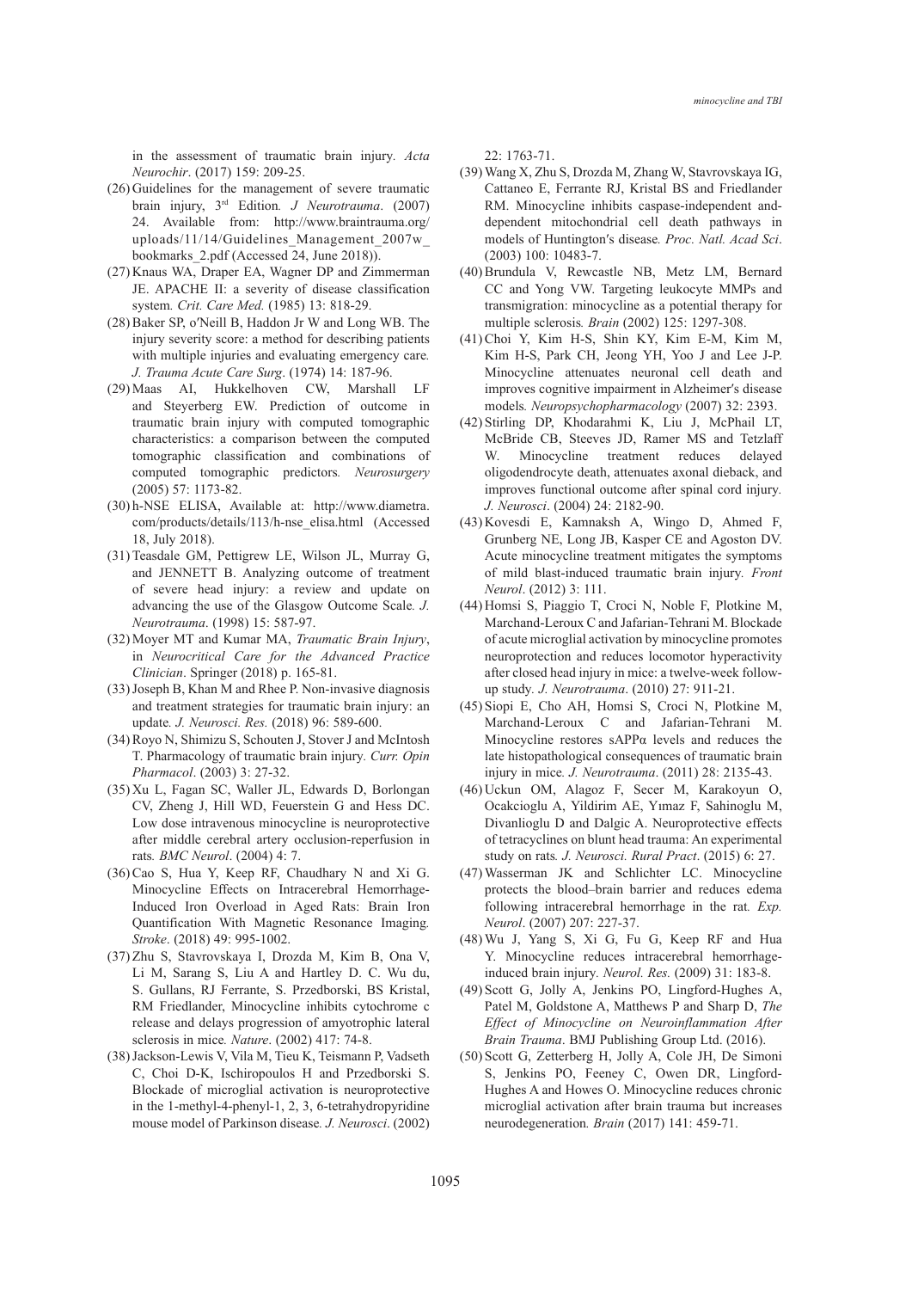in the assessment of traumatic brain injury*. Acta Neurochir*. (2017) 159: 209-25.

- $(26)$  Guidelines for the management of severe traumatic brain injury, 3rd Edition*. J Neurotrauma*. (2007) 24. Available from: http://www.braintrauma.org/ uploads/11/14/Guidelines\_Management\_2007w\_ bookmarks\_2.pdf (Accessed 24, June 2018)).
- (27) Knaus WA, Draper EA, Wagner DP and Zimmerman JE. APACHE II: a severity of disease classification system*. Crit. Care Med.* (1985) 13: 818-29.
- (28) Baker SP, o'Neill B, Haddon Jr W and Long WB. The injury severity score: a method for describing patients with multiple injuries and evaluating emergency care*. J. Trauma Acute Care Surg*. (1974) 14: 187-96.
- (29) Maas AI, Hukkelhoven CW, Marshall LF and Steyerberg EW. Prediction of outcome in traumatic brain injury with computed tomographic characteristics: a comparison between the computed tomographic classification and combinations of computed tomographic predictors*. Neurosurgery* (2005) 57: 1173-82.
- h-NSE ELISA, Available at: http://www.diametra. (30) com/products/details/113/h-nse\_elisa.html (Accessed 18, July 2018).
- (31) Teasdale GM, Pettigrew LE, Wilson JL, Murray G, and JENNETT B. Analyzing outcome of treatment of severe head injury: a review and update on advancing the use of the Glasgow Outcome Scale*. J. Neurotrauma*. (1998) 15: 587-97.
- Moyer MT and Kumar MA, *Traumatic Brain Injury*, (32) in *Neurocritical Care for the Advanced Practice Clinician*. Springer (2018) p. 165-81.
- (33) Joseph B, Khan M and Rhee P. Non-invasive diagnosis and treatment strategies for traumatic brain injury: an update*. J. Neurosci. Res.* (2018) 96: 589-600.
- (34) Royo N, Shimizu S, Schouten J, Stover J and McIntosh T. Pharmacology of traumatic brain injury*. Curr. Opin Pharmacol*. (2003) 3: 27-32.
- (35) Xu L, Fagan SC, Waller JL, Edwards D, Borlongan CV, Zheng J, Hill WD, Feuerstein G and Hess DC. Low dose intravenous minocycline is neuroprotective after middle cerebral artery occlusion-reperfusion in rats*. BMC Neurol*. (2004) 4: 7.
- $(36)$  Cao S, Hua Y, Keep RF, Chaudhary N and Xi G. Minocycline Effects on Intracerebral Hemorrhage-Induced Iron Overload in Aged Rats: Brain Iron Quantification With Magnetic Resonance Imaging*. Stroke*. (2018) 49: 995-1002.
- (37) Zhu S, Stavrovskaya I, Drozda M, Kim B, Ona V, Li M, Sarang S, Liu A and Hartley D. C. Wu du, S. Gullans, RJ Ferrante, S. Przedborski, BS Kristal, RM Friedlander, Minocycline inhibits cytochrome c release and delays progression of amyotrophic lateral sclerosis in mice*. Nature*. (2002) 417: 74-8.
- (38) Jackson-Lewis V, Vila M, Tieu K, Teismann P, Vadseth C, Choi D-K, Ischiropoulos H and Przedborski S. Blockade of microglial activation is neuroprotective in the 1-methyl-4-phenyl-1, 2, 3, 6-tetrahydropyridine mouse model of Parkinson disease*. J. Neurosci*. (2002)

22: 1763-71.

- Wang X, Zhu S, Drozda M, Zhang W, Stavrovskaya IG, (39) Cattaneo E, Ferrante RJ, Kristal BS and Friedlander RM. Minocycline inhibits caspase-independent anddependent mitochondrial cell death pathways in models of Huntington′s disease*. Proc. Natl. Acad Sci*. (2003) 100: 10483-7.
- (40) Brundula V, Rewcastle NB, Metz LM, Bernard CC and Yong VW. Targeting leukocyte MMPs and transmigration: minocycline as a potential therapy for multiple sclerosis*. Brain* (2002) 125: 1297-308.
- Choi Y, Kim H-S, Shin KY, Kim E-M, Kim M, (41) Kim H-S, Park CH, Jeong YH, Yoo J and Lee J-P. Minocycline attenuates neuronal cell death and improves cognitive impairment in Alzheimer′s disease models*. Neuropsychopharmacology* (2007) 32: 2393.
- (42) Stirling DP, Khodarahmi K, Liu J, McPhail LT, McBride CB, Steeves JD, Ramer MS and Tetzlaff W. Minocycline treatment reduces delayed oligodendrocyte death, attenuates axonal dieback, and improves functional outcome after spinal cord injury*. J. Neurosci*. (2004) 24: 2182-90.
- (43) Kovesdi E, Kamnaksh A, Wingo D, Ahmed F, Grunberg NE, Long JB, Kasper CE and Agoston DV. Acute minocycline treatment mitigates the symptoms of mild blast-induced traumatic brain injury*. Front Neurol*. (2012) 3: 111.
- (44) Homsi S, Piaggio T, Croci N, Noble F, Plotkine M, Marchand-Leroux C and Jafarian-Tehrani M. Blockade of acute microglial activation by minocycline promotes neuroprotection and reduces locomotor hyperactivity after closed head injury in mice: a twelve-week followup study*. J. Neurotrauma*. (2010) 27: 911-21.
- (45) Siopi E, Cho AH, Homsi S, Croci N, Plotkine M, Marchand-Leroux C and Jafarian-Tehrani M. Minocycline restores sAPPα levels and reduces the late histopathological consequences of traumatic brain injury in mice*. J. Neurotrauma*. (2011) 28: 2135-43.
- (46) Uckun OM, Alagoz F, Secer M, Karakoyun O, Ocakcioglu A, Yildirim AE, Yımaz F, Sahinoglu M, Divanlioglu D and Dalgic A. Neuroprotective effects of tetracyclines on blunt head trauma: An experimental study on rats*. J. Neurosci. Rural Pract*. (2015) 6: 27.
- Wasserman JK and Schlichter LC. Minocycline (47) protects the blood–brain barrier and reduces edema following intracerebral hemorrhage in the rat*. Exp. Neurol*. (2007) 207: 227-37.
- Wu J, Yang S, Xi G, Fu G, Keep RF and Hua (48) Y. Minocycline reduces intracerebral hemorrhageinduced brain injury*. Neurol. Res.* (2009) 31: 183-8.
- (49) Scott G, Jolly A, Jenkins PO, Lingford-Hughes A, Patel M, Goldstone A, Matthews P and Sharp D, *The Effect of Minocycline on Neuroinflammation After Brain Trauma*. BMJ Publishing Group Ltd. (2016).
- (50) Scott G, Zetterberg H, Jolly A, Cole JH, De Simoni S, Jenkins PO, Feeney C, Owen DR, Lingford-Hughes A and Howes O. Minocycline reduces chronic microglial activation after brain trauma but increases neurodegeneration*. Brain* (2017) 141: 459-71.